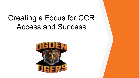### Creating a Focus for CCR Access and Success

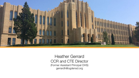

#### Heather Gerrard CCR and CTE Director (Former Assistant Principal OHS) gerrardh@ogdensd.org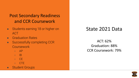#### Post Secondary Readiness and CCR Coursework

- Students earning 18 or higher on ACT
- Graduation Rates
- Successfully completing CCR **Coursework** 
	- $\circ$  AP
	- IB
	- $\circ$  CF
	- CTE
- **Student Groups**

#### State 2021 Data

ACT: 62% Graduation: 88% CCR Coursework: 79%

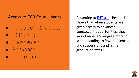#### Access to CCR Course Work

- Portrait of a Graduate
- CCR Skills
- Engagement
- Relevance
- Connections

According to **EdTrust**, "Research shows that when students are given access to advanced coursework opportunities, they work harder and engage more in school, leading to fewer absences and suspensions and higher graduation rates."

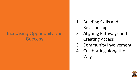#### Increasing Opportunity and **Success**

- 1. Building Skills and Relationships
- 2. Aligning Pathways and Creating Access
- 3. Community Involvement
- 4. Celebrating along the Way

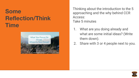### **Some Reflection/Think Time**



Thinking about the introduction to the 5 approaching and the why behind CCR Access: Take 5 minutes

- 1. What are you doing already and what are some initial ideas? (Write them down).
- 2. Share with 3 or 4 people next to you.

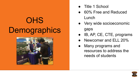### **OHS** Demographics



- Title 1 School
- 60% Free and Reduced Lunch
- Very wide socioeconomic gaps
- IB, AP, CE, CTE, programs
- Newcomer and ELL 20%
- Many programs and resources to address the needs of students

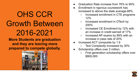### OHS CCR Growth Between 2016-2021

#### **More Students are graduation and they are leaving more prepared to compete globally.**



- Graduation Rate increase from 76% to 95%
- Enrollment in rigorous coursework has increased to above the state average-88%
	- Increased enrollment in CTE programs 12%
	- Increased enrollment in OTech by 200%
	- Increased CE Enrollment by 12% with an increase in credit earned of 17%
	- $\circ$ Increased AP exams by 89% with an increase in pass rate of 20%
- Increased ACT composite by 1.9
	- Text Complexity increased by 30%
- Scholarship offers over 2 million.
	- First generation scholarship offers over \$800,000

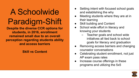# A Schoolwide Paradigm-Shift

**Despite the diverse CCR options for students, in 2016, enrollment remained small due to an overall perception regarding students ability and access barriers**

#### **Skill vs Content**

- Setting intent with focused school goals and establishing the why
- Meeting students where they are at in their learning
- **Skill building and Content**
- School wide effort in literacy and knowing your students
	- Teacher goals and school wide initiatives all tied back to school goals for literacy and graduation
- Removing access barriers and changing counselor conversations
- Celebrating student enrollment, not just AP exam pass rates
- Increase course offerings in these programs and utilizing the 5x5

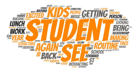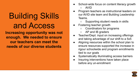## Building Skills and Access

**Increasing opportunity was not enough. We needed to ensure our teachers can meet the needs of our diverse students**

- School-wide focus on content literacy growth ○ AVID
- Program teachers as instructional leaders on our AVID site team and Building Leadership Teams.
	- Supporting student needs in skills
- Fostering teacher growth
	- Coordinators for programs
	- AP and IB graders
- Teacher/Dept. input on increasing offerings and taking advantage of our shift to a 5x5
- Aligning resources within the school plan to ensure resources supported the increase in rigour schoolwide and program enrollments tied to our goals
- Systematically illuminating access barriers
- Insuring interventions have taken place before any un-enrollment

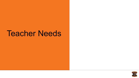### Teacher Needs

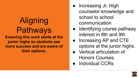### Aligning Pathways **Ensuring this work starts at the junior highs so students see more success and are aware of their options.**

- Increasing Jr. High counselor knowledge and school to school communication
- Identifying course pathway interest in 8th and 9th
- Increasing AP and CTE options at the junior highs.
- Vertical articulation of Honors Courses.
- Individual CCRs

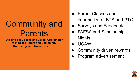## Community and Parents

**Utilizing our College and Career Coordinator to Increase Parent and Community Knowledge and Awareness**

- Parent Classes and information at BTS and PTC
- Surveys and Feedback
- **FAFSA and Scholarship Nights**
- **UCAW**
- Community driven rewards
- Program advertisement

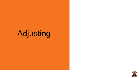## Adjusting

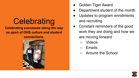# **Celebrating**

**Celebrating successes along the way as apart of OHS culture and student connections.**



- **Golden Tiger Award**
- Department student of the month
- Updates to program enrollments and recruiting
- Constant reminders of the good work they are doing and how we are moving forward
	- Videos
	- Emails
	- Around the School

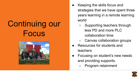## Continuing our Focus



- Keeping the skills focus and strategies that we have spent three years learning in a remote learning world
	- Supporting teachers through less PD and more PLC collaboration time
	- Canvas collaboration groups
- Resources for students and teachers
- Focusing on student's new needs and providing supports.
	- Program retainment